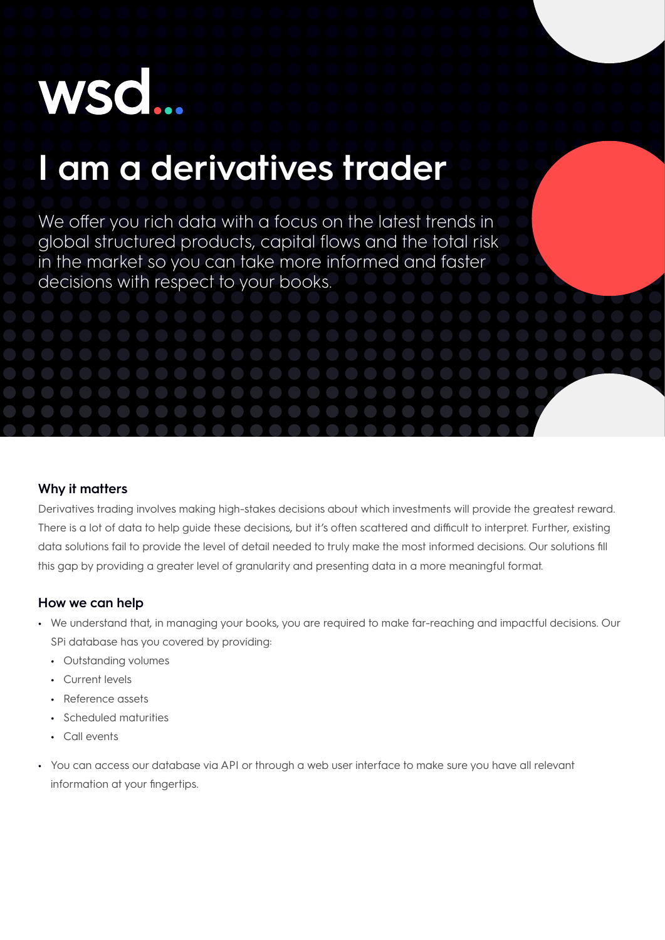# **WSC**

## **I am a derivatives trader**

We offer you rich data with a focus on the latest trends in global structured products, capital flows and the total risk in the market so you can take more informed and faster decisions with respect to your books.

#### **Why it matters**

Derivatives trading involves making high-stakes decisions about which investments will provide the greatest reward. There is a lot of data to help guide these decisions, but it's often scattered and difficult to interpret. Further, existing data solutions fail to provide the level of detail needed to truly make the most informed decisions. Our solutions fill this gap by providing a greater level of granularity and presenting data in a more meaningful format.

#### **How we can help**

- **•** We understand that, in managing your books, you are required to make far-reaching and impactful decisions. Our SPi database has you covered by providing:
	- **•** Outstanding volumes
	- **•** Current levels
	- **•** Reference assets
	- **•** Scheduled maturities
	- **•** Call events
- **•** You can access our database via API or through a web user interface to make sure you have all relevant information at your fingertips.